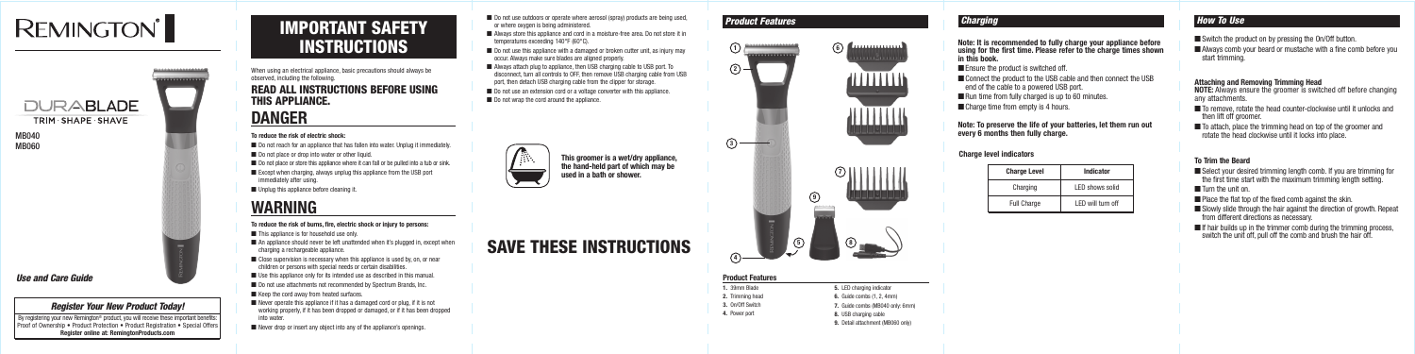# **REMINGTON®**

TRIM SHAPE SHAVE



When using an electrical appliance, basic precautions should always be observed, including the following.

## READ ALL INSTRUCTIONS BEFORE USING THIS APPLIANCE.

## **DANGER**

### **To reduce the risk of electric shock:**

- Do not reach for an appliance that has fallen into water. Unplug it immediately.
- Do not place or drop into water or other liquid.
- $\blacksquare$  Do not place or store this appliance where it can fall or be pulled into a tub or sink.
- $\blacksquare$  Except when charging, always unplug this appliance from the USB port immediately after using.
- Unplug this appliance before cleaning it.

## **WARNING**

#### **To reduce the risk of burns, fire, electric shock or injury to persons:**

- This appliance is for household use only.
- $\blacksquare$  An appliance should never be left unattended when it's plugged in, except when charging a rechargeable appliance.
- $\blacksquare$  Close supervision is necessary when this appliance is used by, on, or near children or persons with special needs or certain disabilities.
- Use this appliance only for its intended use as described in this manual.
- Do not use attachments not recommended by Spectrum Brands, Inc.
- Keep the cord away from heated surfaces.
- Never operate this appliance if it has a damaged cord or plug, if it is not working properly, if it has been dropped or damaged, or if it has been dropped into water.
- Never drop or insert any object into any of the appliance's openings.
- Do not use outdoors or operate where aerosol (spray) products are being used, or where oxygen is being administered.
- Always store this appliance and cord in a moisture-free area. Do not store it in temperatures exceeding 140°F (60°C).
- $\blacksquare$  Do not use this appliance with a damaged or broken cutter unit, as injury may occur. Always make sure blades are aligned properly.
- Always attach plug to appliance, then USB charging cable to USB port. To disconnect, turn all controls to OFF, then remove USB charging cable from USB port, then detach USB charging cable from the clipper for storage.
- Do not use an extension cord or a voltage converter with this appliance.
- Do not wrap the cord around the appliance.



- Switch the product on by pressing the On/Off button.
- Always comb your beard or mustache with a fine comb before you start trimming.

- To remove, rotate the head counter-clockwise until it unlocks and then lift off groomer.
- To attach, place the trimming head on top of the groomer and rotate the head clockwise until it locks into place.

- Select your desired trimming length comb. If you are trimming for the first time start with the maximum trimming length setting.
- Turn the unit on.
- Place the flat top of the fixed comb against the skin.
- Slowly slide through the hair against the direction of growth. Repeat from different directions as necessary.
- $\blacksquare$  If hair builds up in the trimmer comb during the trimming process, switch the unit off, pull off the comb and brush the hair off.

# SAVE THESE INSTRUCTIONS

### *Product Features*

### **Product Features**

- **1.** 39mm Blade **2.** Trimming head
- **3.** On/Off Switch
- **4.** Power port

**5.** LED charging indicator **6.** Guide combs (1, 2, 4mm) **7.** Guide combs (MB040 only: 6mm) **8.** USB charging cable **9.** Detail attachment (MB060 only)

### *Use and Care Guide*

### *Register Your New Product Today!*

By registering your new Remington® product, you will receive these important benefits: Proof of Ownership • Product Protection • Product Registration • Special Offers **Register online at: RemingtonProducts.com**

## IMPORTANT SAFETY **INSTRUCTIONS**

### **Attaching and Removing Trimming Head**

**NOTE:** Always ensure the groomer is switched off before changing any attachments.

### **To Trim the Beard**



MB040 MB060

> **This groomer is a wet/dry appliance, the hand-held part of which may be used in a bath or shower.**

**Note: It is recommended to fully charge your appliance before using for the first time. Please refer to the charge times shown in this book.**

- $\blacksquare$  Ensure the product is switched off.
- Connect the product to the USB cable and then connect the USB end of the cable to a powered USB port.
- Run time from fully charged is up to 60 minutes.
- Charge time from empty is 4 hours.



**Note: To preserve the life of your batteries, let them run out every 6 months then fully charge.**

**Charge level indicators** 

| <b>Charge Level</b> | <b>Indicator</b>   |
|---------------------|--------------------|
| Charging            | LED shows solid    |
| <b>Full Charge</b>  | I FD will turn off |

### *Charging* **Charging How To Use Charging How To Use How To Use How To Use**